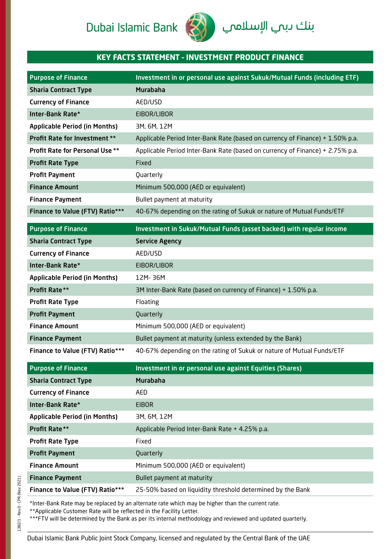# Dubai Islamic Bank



# **KEY FACTS STATEMENT – INVESTMENT PRODUCT FINANCE**

| <b>Purpose of Finance</b>              | Investment in or personal use against Sukuk/Mutual Funds (including ETF)                         |
|----------------------------------------|--------------------------------------------------------------------------------------------------|
| <b>Sharia Contract Type</b>            | <b>Murabaha</b>                                                                                  |
| <b>Currency of Finance</b>             | AED/USD                                                                                          |
| Inter-Bank Rate*                       | EIBOR/LIBOR                                                                                      |
| <b>Applicable Period (in Months)</b>   | 3M, 6M, 12M                                                                                      |
| Profit Rate for Investment **          | Applicable Period Inter-Bank Rate (based on currency of Finance) + 1.50% p.a.                    |
| Profit Rate for Personal Use **        | Applicable Period Inter-Bank Rate (based on currency of Finance) + 2.75% p.a.                    |
| <b>Profit Rate Type</b>                | Fixed                                                                                            |
| <b>Profit Payment</b>                  | Quarterly                                                                                        |
| <b>Finance Amount</b>                  | Minimum 500,000 (AED or equivalent)                                                              |
| <b>Finance Payment</b>                 | Bullet payment at maturity                                                                       |
| <b>Finance to Value (FTV) Ratio***</b> | 40-67% depending on the rating of Sukuk or nature of Mutual Funds/ETF                            |
| <b>Purpose of Finance</b>              | Investment in Sukuk/Mutual Funds (asset backed) with regular income                              |
| <b>Sharia Contract Type</b>            | <b>Service Agency</b>                                                                            |
| <b>Currency of Finance</b>             | AED/USD                                                                                          |
| Inter-Bank Rate*                       | EIBOR/LIBOR                                                                                      |
| <b>Applicable Period (in Months)</b>   | 12M-36M                                                                                          |
| Profit Rate**                          | 3M Inter-Bank Rate (based on currency of Finance) + 1.50% p.a.                                   |
| <b>Profit Rate Type</b>                | Floating                                                                                         |
| <b>Profit Payment</b>                  | Quarterly                                                                                        |
| <b>Finance Amount</b>                  | Minimum 500,000 (AED or equivalent)                                                              |
| <b>Finance Payment</b>                 | Bullet payment at maturity (unless extended by the Bank)                                         |
| <b>Finance to Value (FTV) Ratio***</b> | 40-67% depending on the rating of Sukuk or nature of Mutual Funds/ETF                            |
| <b>Purpose of Finance</b>              | Investment in or personal use against Equities (Shares)                                          |
| <b>Sharia Contract Type</b>            | <b>Murabaha</b>                                                                                  |
| <b>Currency of Finance</b>             | AED                                                                                              |
| Inter-Bank Rate*                       | <b>EIBOR</b>                                                                                     |
| <b>Applicable Period (in Months)</b>   | 3M, 6M, 12M                                                                                      |
| Profit Rate**                          | Applicable Period Inter-Bank Rate + 4.25% p.a.                                                   |
| <b>Profit Rate Type</b>                | Fixed                                                                                            |
| <b>Profit Payment</b>                  | Quarterly                                                                                        |
| <b>Finance Amount</b>                  | Minimum 500,000 (AED or equivalent)                                                              |
| <b>Finance Payment</b>                 | Bullet payment at maturity                                                                       |
| <b>Finance to Value (FTV) Ratio***</b> | 25-50% based on liquidity threshold determined by the Bank                                       |
|                                        | *Inter-Bank Rate may be replaced by an alternate rate which may be higher than the current rate. |

\*\*Applicable Customer Rate will be reflected in the Facility Letter.

\*\*\*FTV will be determined by the Bank as per its internal methodology and reviewed and updated quarterly.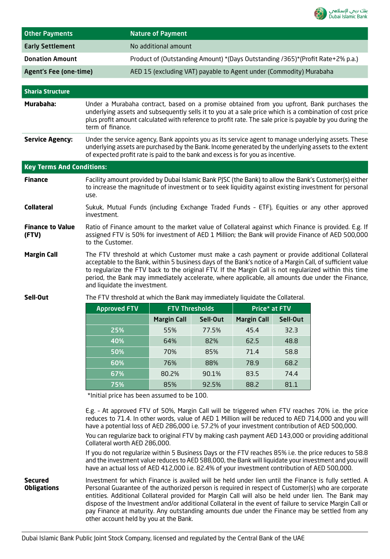

| <b>Other Payments</b>            |                                                                                                                                                                                                                                                                                                                                                                                                                                                            | <b>Nature of Payment</b>                                           |          |                    |          |                                                                                |
|----------------------------------|------------------------------------------------------------------------------------------------------------------------------------------------------------------------------------------------------------------------------------------------------------------------------------------------------------------------------------------------------------------------------------------------------------------------------------------------------------|--------------------------------------------------------------------|----------|--------------------|----------|--------------------------------------------------------------------------------|
| <b>Early Settlement</b>          |                                                                                                                                                                                                                                                                                                                                                                                                                                                            | No additional amount                                               |          |                    |          |                                                                                |
| <b>Donation Amount</b>           |                                                                                                                                                                                                                                                                                                                                                                                                                                                            |                                                                    |          |                    |          | Product of (Outstanding Amount) *(Days Outstanding /365)*(Profit Rate+2% p.a.) |
| <b>Agent's Fee (one-time)</b>    |                                                                                                                                                                                                                                                                                                                                                                                                                                                            | AED 15 (excluding VAT) payable to Agent under (Commodity) Murabaha |          |                    |          |                                                                                |
|                                  |                                                                                                                                                                                                                                                                                                                                                                                                                                                            |                                                                    |          |                    |          |                                                                                |
| <b>Sharia Structure</b>          |                                                                                                                                                                                                                                                                                                                                                                                                                                                            |                                                                    |          |                    |          |                                                                                |
| Murabaha:                        | Under a Murabaha contract, based on a promise obtained from you upfront, Bank purchases the<br>underlying assets and subsequently sells it to you at a sale price which is a combination of cost price<br>plus profit amount calculated with reference to profit rate. The sale price is payable by you during the<br>term of finance.                                                                                                                     |                                                                    |          |                    |          |                                                                                |
| <b>Service Agency:</b>           | Under the service agency, Bank appoints you as its service agent to manage underlying assets. These<br>underlying assets are purchased by the Bank. Income generated by the underlying assets to the extent<br>of expected profit rate is paid to the bank and excess is for you as incentive.                                                                                                                                                             |                                                                    |          |                    |          |                                                                                |
| <b>Key Terms And Conditions:</b> |                                                                                                                                                                                                                                                                                                                                                                                                                                                            |                                                                    |          |                    |          |                                                                                |
| <b>Finance</b>                   | Facility amount provided by Dubai Islamic Bank PJSC (the Bank) to allow the Bank's Customer(s) either<br>to increase the magnitude of investment or to seek liquidity against existing investment for personal<br>use.                                                                                                                                                                                                                                     |                                                                    |          |                    |          |                                                                                |
| <b>Collateral</b>                | Sukuk, Mutual Funds (including Exchange Traded Funds - ETF), Equities or any other approved<br>investment.                                                                                                                                                                                                                                                                                                                                                 |                                                                    |          |                    |          |                                                                                |
| <b>Finance to Value</b><br>(FTV) | Ratio of Finance amount to the market value of Collateral against which Finance is provided. E.g. If<br>assigned FTV is 50% for investment of AED 1 Million; the Bank will provide Finance of AED 500,000<br>to the Customer.                                                                                                                                                                                                                              |                                                                    |          |                    |          |                                                                                |
| <b>Margin Call</b>               | The FTV threshold at which Customer must make a cash payment or provide additional Collateral<br>acceptable to the Bank, within 5 business days of the Bank's notice of a Margin Call, of sufficient value<br>to regularize the FTV back to the original FTV. If the Margin Call is not regularized within this time<br>period, the Bank may immediately accelerate, where applicable, all amounts due under the Finance,<br>and liquidate the investment. |                                                                    |          |                    |          |                                                                                |
| Sell-Out                         | The FTV threshold at which the Bank may immediately liquidate the Collateral.                                                                                                                                                                                                                                                                                                                                                                              |                                                                    |          |                    |          |                                                                                |
|                                  | <b>Approved FTV</b>                                                                                                                                                                                                                                                                                                                                                                                                                                        | <b>FTV Thresholds</b>                                              |          | Price* at FTV      |          |                                                                                |
|                                  |                                                                                                                                                                                                                                                                                                                                                                                                                                                            | <b>Margin Call</b>                                                 | Sell-Out | <b>Margin Call</b> | Sell-Out |                                                                                |
|                                  | 25%                                                                                                                                                                                                                                                                                                                                                                                                                                                        | 55%                                                                | 77.5%    | 45.4               | 32.3     |                                                                                |
|                                  | 40%                                                                                                                                                                                                                                                                                                                                                                                                                                                        | 64%                                                                | 82%      | 62.5               | 48.8     |                                                                                |
|                                  | 50%                                                                                                                                                                                                                                                                                                                                                                                                                                                        | 70%                                                                | 85%      | 71.4               | 58.8     |                                                                                |
|                                  | 60%                                                                                                                                                                                                                                                                                                                                                                                                                                                        | 76%                                                                | 88%      | 78.9               | 68.2     |                                                                                |
|                                  | 67%                                                                                                                                                                                                                                                                                                                                                                                                                                                        | 80.2%                                                              | 90.1%    | 83.5               | 74.4     |                                                                                |
|                                  | 75%                                                                                                                                                                                                                                                                                                                                                                                                                                                        | 85%                                                                | 92.5%    | 88.2               | 81.1     |                                                                                |
|                                  | *Initial price has been assumed to be 100.                                                                                                                                                                                                                                                                                                                                                                                                                 |                                                                    |          |                    |          |                                                                                |
|                                  | E.g. - At approved FTV of 50%, Margin Call will be triggered when FTV reaches 70% i.e. the price<br>reduces to 71.4. In other words, value of AED 1 Million will be reduced to AED 714,000 and you will<br>have a potential loss of AED 286,000 i.e. 57.2% of your investment contribution of AED 500,000.                                                                                                                                                 |                                                                    |          |                    |          |                                                                                |

You can regularize back to original FTV by making cash payment AED 143,000 or providing additional Collateral worth AED 286,000.

If you do not regularize within 5 Business Days or the FTV reaches 85% i.e. the price reduces to 58.8 and the investment value reduces to AED 588,000, the Bank will liquidate your investment and you will have an actual loss of AED 412,000 i.e. 82.4% of your investment contribution of AED 500,000.

**Secured Obligations** Investment for which Finance is availed will be held under lien until the Finance is fully settled. A Personal Guarantee of the authorized person is required in respect of Customer(s) who are corporate entities. Additional Collateral provided for Margin Call will also be held under lien. The Bank may dispose of the Investment and/or additional Collateral in the event of failure to service Margin Call or pay Finance at maturity. Any outstanding amounts due under the Finance may be settled from any other account held by you at the Bank.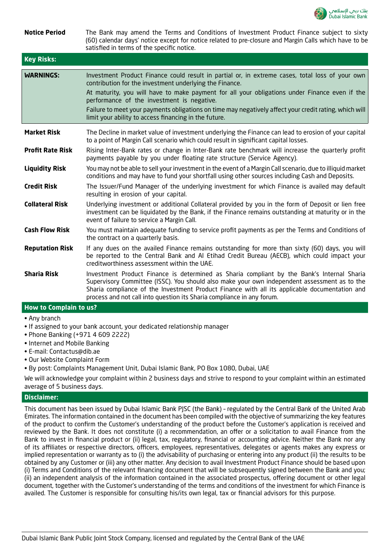

| <b>Notice Period</b>    | The Bank may amend the Terms and Conditions of Investment Product Finance subject to sixty<br>(60) calendar days' notice except for notice related to pre-closure and Margin Calls which have to be<br>satisfied in terms of the specific notice.                                                                                                                                                                                                                            |
|-------------------------|------------------------------------------------------------------------------------------------------------------------------------------------------------------------------------------------------------------------------------------------------------------------------------------------------------------------------------------------------------------------------------------------------------------------------------------------------------------------------|
| <b>Key Risks:</b>       |                                                                                                                                                                                                                                                                                                                                                                                                                                                                              |
| <b>WARNINGS:</b>        | Investment Product Finance could result in partial or, in extreme cases, total loss of your own<br>contribution for the investment underlying the Finance.<br>At maturity, you will have to make payment for all your obligations under Finance even if the<br>performance of the investment is negative.<br>Failure to meet your payments obligations on time may negatively affect your credit rating, which will<br>limit your ability to access financing in the future. |
| <b>Market Risk</b>      | The Decline in market value of investment underlying the Finance can lead to erosion of your capital<br>to a point of Margin Call scenario which could result in significant capital losses.                                                                                                                                                                                                                                                                                 |
| <b>Profit Rate Risk</b> | Rising Inter-Bank rates or change in Inter-Bank rate benchmark will increase the quarterly profit<br>payments payable by you under floating rate structure (Service Agency).                                                                                                                                                                                                                                                                                                 |
| <b>Liquidity Risk</b>   | You may not be able to sell your investment in the event of a Margin Call scenario, due to illiquid market<br>conditions and may have to fund your shortfall using other sources including Cash and Deposits.                                                                                                                                                                                                                                                                |
| <b>Credit Risk</b>      | The Issuer/Fund Manager of the underlying investment for which Finance is availed may default<br>resulting in erosion of your capital.                                                                                                                                                                                                                                                                                                                                       |
| <b>Collateral Risk</b>  | Underlying investment or additional Collateral provided by you in the form of Deposit or lien free<br>investment can be liquidated by the Bank, if the Finance remains outstanding at maturity or in the<br>event of failure to service a Margin Call.                                                                                                                                                                                                                       |
| <b>Cash Flow Risk</b>   | You must maintain adequate funding to service profit payments as per the Terms and Conditions of<br>the contract on a quarterly basis.                                                                                                                                                                                                                                                                                                                                       |
| <b>Reputation Risk</b>  | If any dues on the availed Finance remains outstanding for more than sixty (60) days, you will<br>be reported to the Central Bank and AI Etihad Credit Bureau (AECB), which could impact your<br>creditworthiness assessment within the UAE.                                                                                                                                                                                                                                 |
| <b>Sharia Risk</b>      | Investment Product Finance is determined as Sharia compliant by the Bank's Internal Sharia<br>Supervisory Committee (ISSC). You should also make your own independent assessment as to the<br>Sharia compliance of the Investment Product Finance with all its applicable documentation and<br>process and not call into question its Sharia compliance in any forum.                                                                                                        |

## **How to Complain to us?**

- Any branch
- If assigned to your bank account, your dedicated relationship manager
- Phone Banking (+971 4 609 2222)
- Internet and Mobile Banking
- E-mail: Contactus@dib.ae
- Our Website Complaint Form
- By post: Complaints Management Unit, Dubai Islamic Bank, PO Box 1080, Dubai, UAE

We will acknowledge your complaint within 2 business days and strive to respond to your complaint within an estimated average of 5 business days.

#### **Disclaimer:**

This document has been issued by Dubai Islamic Bank PJSC (the Bank) – regulated by the Central Bank of the United Arab Emirates. The information contained in the document has been compiled with the objective of summarizing the key features of the product to confirm the Customer's understanding of the product before the Customer's application is received and reviewed by the Bank. It does not constitute (i) a recommendation, an offer or a solicitation to avail Finance from the Bank to invest in financial product or (ii) legal, tax, regulatory, financial or accounting advice. Neither the Bank nor any of its affiliates or respective directors, officers, employees, representatives, delegates or agents makes any express or implied representation or warranty as to (i) the advisability of purchasing or entering into any product (ii) the results to be obtained by any Customer or (iii) any other matter. Any decision to avail Investment Product Finance should be based upon (i) Terms and Conditions of the relevant financing document that will be subsequently signed between the Bank and you; (ii) an independent analysis of the information contained in the associated prospectus, offering document or other legal document, together with the Customer's understanding of the terms and conditions of the investment for which Finance is availed. The Customer is responsible for consulting his/its own legal, tax or financial advisors for this purpose.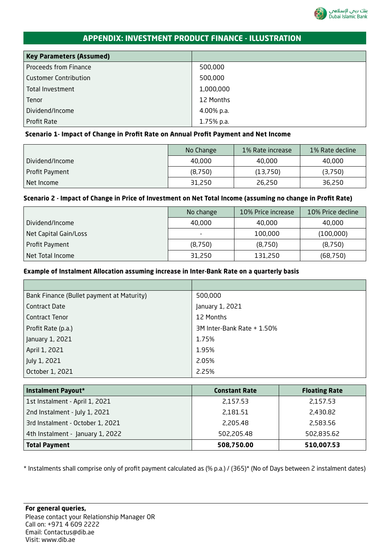

# **APPENDIX: INVESTMENT PRODUCT FINANCE - ILLUSTRATION**

| <b>Key Parameters (Assumed)</b> |            |
|---------------------------------|------------|
| <b>Proceeds from Finance</b>    | 500,000    |
| <b>Customer Contribution</b>    | 500,000    |
| Total Investment                | 1,000,000  |
| Tenor                           | 12 Months  |
| Dividend/Income                 | 4.00% p.a. |
| <b>Profit Rate</b>              | 1.75% p.a. |

## **Scenario 1- Impact of Change in Profit Rate on Annual Profit Payment and Net Income**

|                   | No Change | 1% Rate increase | 1% Rate decline |
|-------------------|-----------|------------------|-----------------|
| . Dividend/Income | 40,000    | 40,000           | 40,000          |
| Profit Payment    | (8,750)   | (13,750)         | (3,750)         |
| Net Income        | 31,250    | 26,250           | 36,250          |

## **Scenario 2 - Impact of Change in Price of Investment on Net Total Income (assuming no change in Profit Rate)**

|                       | No change                | 10% Price increase | 10% Price decline |
|-----------------------|--------------------------|--------------------|-------------------|
| Dividend/Income       | 40,000                   | 40,000             | 40,000            |
| Net Capital Gain/Loss | $\overline{\phantom{0}}$ | 100,000            | (100,000)         |
| Profit Payment        | (8,750)                  | (8,750)            | (8,750)           |
| Net Total Income      | 31,250                   | 131,250            | (68, 750)         |

## **Example of Instalment Allocation assuming increase in Inter-Bank Rate on a quarterly basis**

| Bank Finance (Bullet payment at Maturity) | 500,000                    |
|-------------------------------------------|----------------------------|
| Contract Date                             | January 1, 2021            |
| <b>Contract Tenor</b>                     | 12 Months                  |
| Profit Rate (p.a.)                        | 3M Inter-Bank Rate + 1.50% |
| January 1, 2021                           | 1.75%                      |
| April 1, 2021                             | 1.95%                      |
| July 1, 2021                              | 2.05%                      |
| October 1, 2021                           | 2.25%                      |

| <b>Instalment Payout*</b>        | <b>Constant Rate</b> | <b>Floating Rate</b> |
|----------------------------------|----------------------|----------------------|
| 1st Instalment - April 1, 2021   | 2,157.53             | 2,157.53             |
| 2nd Instalment - July 1, 2021    | 2,181.51             | 2,430.82             |
| 3rd Instalment - October 1, 2021 | 2,205.48             | 2,583.56             |
| 4th Instalment - January 1, 2022 | 502,205.48           | 502,835.62           |
| <b>Total Payment</b>             | 508,750.00           | 510,007.53           |

\* Instalments shall comprise only of profit payment calculated as (% p.a.) / (365)\* (No of Days between 2 instalment dates)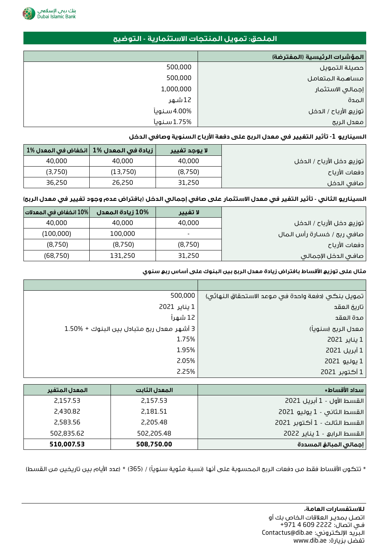

# **الملحق: تمويل المنتجات االستثمارية - التوضيح**

|             | المؤشرات الرئيسية (المفترضة) |
|-------------|------------------------------|
| 500,000     | حصيلة التمويل                |
| 500,000     | مساهمة المتعامل              |
| 1,000,000   | إجمالى الاستثمار             |
| 12 شـهر     | المدة                        |
| 4.00% سنويأ | توزيع الأرباح / الدخل        |
| 1.75% سنويأ | معدل الربح                   |

## **السيناريو** -1 **تأثير التغيير في معدل الربح على دفعة األرباح السنوية وصافي الدخل**

|         | زيادة في المعدل %1   انخفاض في المعدل %1 | لا يوجد تفيير |
|---------|------------------------------------------|---------------|
| 40,000  | 40,000                                   | 40,000        |
| (3,750) | (13,750)                                 | (8,750)       |
| 36,250  | 26,250                                   | 31,250        |

## **السيناريو الثاني - تأثير التغير في معدل االستثمار على صافي إجمالي الدخل )بافتراض عدم وجود تغيير في معدل الربح(**

| 10% انخفاض في المعدلات <br><b>10% زيادة المعدل</b> | لا تفيير                 |
|----------------------------------------------------|--------------------------|
| 40,000<br>40,000                                   | 40,000                   |
| 100,000<br>(100,000)                               | $\overline{\phantom{0}}$ |
| (8,750)<br>(8,750)                                 | (8,750)                  |
| (68, 750)<br>131,250                               | 31,250                   |

#### **مثال على توزيع األقساط بافتراض زيادة معدل الربح بين البنوك على أساس ربع سنوي**

| تمويل بنكى (دفعة واحدة في موعد الاستحقاق النهائي) | 500,000                                   |
|---------------------------------------------------|-------------------------------------------|
| تاريخ العقد                                       | 1 يناير 2021                              |
| مدة العقد                                         | 12 شهراً                                  |
| معدل الربح (سنوياً)                               | 3 أشهر معدل ربح متبادل بين البنوك + %1.50 |
| 1 يناير 2021                                      | 1.75%                                     |
| 1 أبريل 2021                                      | 1.95%                                     |
| 1 يوليو 2021                                      | 2.05%                                     |
| 1 أكتوبر 2021                                     | 2.25%                                     |

| سداد الأقساط*                | المعدل الثابت | المعدل المتفير |
|------------------------------|---------------|----------------|
| القسط الأول - 1 أبريل 2021   | 2,157.53      | 2,157.53       |
| القسط الثاني - 1 يوليو 2021  | 2,181.51      | 2,430.82       |
| القسط الثالث - 1 أكتوبر 2021 | 2,205.48      | 2,583.56       |
| القسط الرابع - 1 يناير 2022  | 502,205.48    | 502,835.62     |
| إجمالى المبالغ المسددة       | 508,750.00    | 510,007.53     |

\* تتكون الأقساط فقط من دفعات الربع المحسوبة على أنها (نسبة مئوية سنوياً) / (365) \* (عدد الأيام بين تاريخين من القسط)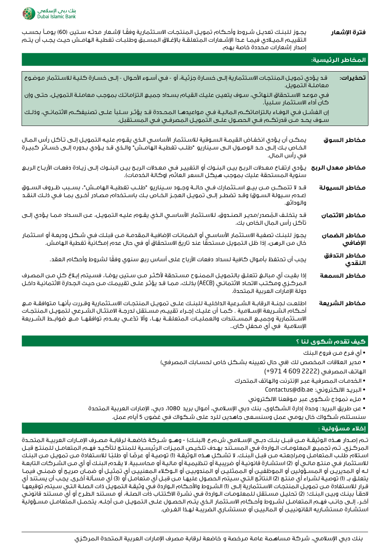

**فترة اإلشعار** ً يجـوز للبنـك تعديـل شـروط وأحـكام تمويـل المنتجـات االسـتثمارية وفقـا إلشـعار مدتـه سـتين )60( يومـا بحسـب التقييـم الميـادي فيمـا عـدا اإلشـعارات المتعلقـة باإلغـاق المسـبق وطلبـات تغطيـة الهامـش حيـث يجـب أن يتـم إصدار إشعارات محددة خاصة بهم.

| المخاطر الرئيسية:                                                                                                                                                                                                                                                                                                                                                                                  |                         |  |  |  |
|----------------------------------------------------------------------------------------------------------------------------------------------------------------------------------------------------------------------------------------------------------------------------------------------------------------------------------------------------------------------------------------------------|-------------------------|--|--|--|
| قد يؤدي تمويـل المنتجـات الاسـتثمارية إلـى خسـارة جزئيـة، أو  - فـي أسـوء الأحـوال - إلـى خسـارة كـليـة للاسـتثمار موضوع<br>معاملة التمويل.                                                                                                                                                                                                                                                        | تحذيرات:                |  |  |  |
| في موعد الاستحقاق النهائي، سوف يتعين عليك القيام بسداد جميع التزاماتك بموجب معاملـة التمويـل، حتـى وإن<br>كان أداء الاسـتثمار سـلبياً.                                                                                                                                                                                                                                                             |                         |  |  |  |
| إن الفشـل فـي الوفـاء بالتزاماتكــم الـماليـة فـي مـواعيدهــا الـمـحـدة قـد يؤثـر سـلبأ علــى تصنيفكــم الائتمانــي، وذلـك<br>سـوف يحـد مـن قدرتكــم فـي الحصـول علــى التمويـل المصرفـي فـي المسـتقبل.                                                                                                                                                                                            |                         |  |  |  |
| يمكـن أن يـؤدي انخفـاض القيمـة السـوقية للاسـتثمار الأساسـي الـذي يقـوم عليـه الـتمويـل إلـى تـآكـل رأس المـال<br>الخـاصٍ بـك إلـى حـد الوصـول الـى سـيناريو  "طلـب تغطيـة الهامـش" والـذي قـد يـؤدي بـدوره إلـى خسـائر كبيـرة<br>في رأس المال.                                                                                                                                                    | مخاطر السوق             |  |  |  |
| <b>مخاطر معدل الربح</b> يـؤدي ارتفاع معدلات الربح بيـن البنـوك أو التغييـر فـي معـدلات الربـح بيـن البنـوك إلـى زيـادة دفعـات الأربـاح الربـع<br>سنوية المستحقة عليك بموجب <i>ه</i> يكل السعر العائم (وكالة الخدمات).                                                                                                                                                                              |                         |  |  |  |
| قـد لا تتمكـن مـن بيـع اسـتثمارك فـي حالـة وجـود سـيناريو  "طلـب تغطيـة الهامـشِ"، بسـبب ظـروف السـوق<br>(عـده سـيولة السـوق) وقـد تضطـر إلـى تمويـل العجـز الخـاص بـك باسـتخدام مصـادر أخـرى بمـا فـي ذلـك النقـد<br>والودائع.                                                                                                                                                                    | مخاطر السيولة           |  |  |  |
| قـد يتخلـف الـمُصدر/مديـر الصنـدوق، للاسـتثمار الأساسـي الـذي يقـوم عليـه التمويـل، عـن السـداد مـمـا يـؤدي إلـى<br>تآكل رأس المال الخاص بك.                                                                                                                                                                                                                                                       | مخاطر الاثتمان          |  |  |  |
| يجـوز لـلبنـك تصفيـة الاسـتثمار الأساســي أو الضمانـات الإضافيـة الـمقدمـة مــن قبـلـك فـي شـكـل وديعـة أو اسـتثمار<br>خال مـن الـرهـن، إذا ظل الـتمويل مـسـتحقّا عند تاريخ الاستحقاق أو في حال عدم إمـكـانية تغطية الـهامـش.                                                                                                                                                                      | مخاطر الضمان<br>الإضافي |  |  |  |
| يجب أن تحتفظ بأموال كافية لسداد دفعات الأرباح على أساس ربع سنوي وفقًا لشروط وأحكام العقد.                                                                                                                                                                                                                                                                                                          | مخاطر التدفق<br>النقدي  |  |  |  |
| إذا بقيت أي مبالـغ تتعلـق بالتمويـل الممنـوح مسـتحقة لأكثـر مـن سـتين يومْـا، فسـيتم إبـلاغ كلٍ مـن المصـرف<br>المركـزي ومكـتـب الاتحـاد الائتمانـي (AECB) بذلـك، مـمـا قـد يؤثـر علـى تقييمـك مـن حيـث الـجـدارة الائتمانيـة داخـل<br>دولة الإمآرات العربية المتحدة.                                                                                                                              | مخاطر السمعة            |  |  |  |
| اطلعت لجنـة الرقابـة الشـرعية الداخليـة للبنـك علـى تمويـل المنتجـات الاسـتثمارية وقـررت بأنهـا متوافقـة مـع<br>أحكام الشـريعة الإسـلامية . كمـا أن عليـك إجـراء تقييـم مسـتقل لدرجـة الامتثـال الشـرعي لتمويـل المنتجـات<br>الاســتثمارية وجميـــــع الـمـســتندات والـعمـلـيــات الـمـتعلـقــة بهــا، وألا تدّعـــي بعـــدم، توافقهـــا مــــع ضوابـــط الشـــريعة<br>الإسلامية  فى أى محفلٍ كان | مخاطر الشريعة           |  |  |  |

## **كيف تقدم شكوى لنا ؟**

• أي فـرع مـن فروع البنك

• مدير العالقات المخصص لك )في حال تعيينه بشـكل خاص لحسـابك المصرفي(

الهاتـف المصرفـي )2222 609 4 +971(

- الخدمـات المصرفيـة عبـر اإلنترنت والهاتف المتحرك
	- Contactus@dib.ae :االلكتروني البريـد•
	- ملء نموذج شـكوى عبر موقعنا االلكتروني

• عن طريق البريد: وحدة إدارة الشـكاوى، بنك دبي اإلسـامي، أموال بريد ،1080 دبي، اإلمارات العربية المتحدة

سنسـتلم شـكواك خال يومي عمل وسنسـعى جاهدين للرد على شـكواك في غضون 5 أيام عمل.

#### **إخالء مسؤولية :**

تـم إصـدار هــذه الوثيقــة مــن قبــل بنــك دبــي الإســلامي ش.م.ع (البنــك) - وهــو شــركة خاضعـة لرقابــة مصـرف الإمــارات العربيــة المتحــدة المركـزي. تـم تجميـع المعلومـات الـواردة فـي المسـتند بهـدف تلخيـص الميـزات الرئيسـية للمنتـج لتأكيـد فهـم المتعامـل للمنتـج قبـل اسـتلام طلـب المتعامـل ومراجعتـه مـن قبـل البنـك. لا تشـكـل هـذه الوثيقـة (1) توصيـة او عرضـا او طلبـًا للاسـتفادة مـن تمويـل مـن البنـك للاسـتثمار فـي منتـج مالـي أو (2) استشـارة قانونيـة أو ضريبيـة أو تنظيميـة أو ماليـة أو محاسـبية. لا يقـدم البنـك أو أي مـن الشـركات التابعـة لـه أو المديريـن أو المسـؤولين أو الموظفيـن أو الممثليـن أو المندوبيـن أو الـوكالء المعنييـن أي تمثيـل أو ضمـان صريـح أو ضمنـي فيمـا يتعلـق بــ (1) توصيـة لشـراء أي منتـج (2) النتائـج التـي سـيتم الـحصـول عليهـا مـن قبـل أي مـتوامـل أو (3) أي مسـألة أخـرى. يجب أن يسـتند أي قـرار للاسـتفادة مـن تمويـل المنتجـات الاسـتثمارية إلـى (1) الشـروط والأحـكام الـواردة فـي وثيقـة التمويـل ذات الصلـة التـي سـيتم توقيعهـا الحقـا بينـك وبيـن البنـك؛ )2( تحليـل مسـتقل للمعلومـات الـواردة فـي نشـرة االكتتـاب ذات الصلـة، أو مسـتند الطـرح أو أي مسـتند قانونـي آخـر، إلـى جانـب فهـم المتعامـل لشـروط وأحـكام االسـتثمار الـذي يتـم الحصـول علـى التمويـل مـن أجلـه. يتحمـل المتعامـل مسـؤولية استشـارة مستشـاريه القانونييـن أو المالييـن أو مستشـاري الضريبـة لهـذا الغـرض.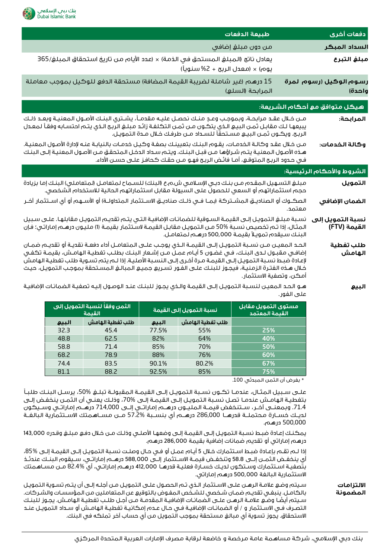

|                                                                                                                                                                                                                                                                                                                                                                                                                                                                       |                                                                                                                                                                                                                                                                                                                                                                                                                                                                                                                                                                                                                                                                                                                                                                                                                                                                                 |       |                                                         | طبيعة الدفعات                             |                     | دفعات أخرى                    |
|-----------------------------------------------------------------------------------------------------------------------------------------------------------------------------------------------------------------------------------------------------------------------------------------------------------------------------------------------------------------------------------------------------------------------------------------------------------------------|---------------------------------------------------------------------------------------------------------------------------------------------------------------------------------------------------------------------------------------------------------------------------------------------------------------------------------------------------------------------------------------------------------------------------------------------------------------------------------------------------------------------------------------------------------------------------------------------------------------------------------------------------------------------------------------------------------------------------------------------------------------------------------------------------------------------------------------------------------------------------------|-------|---------------------------------------------------------|-------------------------------------------|---------------------|-------------------------------|
|                                                                                                                                                                                                                                                                                                                                                                                                                                                                       | من دون مبلغ إضافي                                                                                                                                                                                                                                                                                                                                                                                                                                                                                                                                                                                                                                                                                                                                                                                                                                                               |       |                                                         |                                           |                     | السداد المبكر                 |
|                                                                                                                                                                                                                                                                                                                                                                                                                                                                       | يعادل ناتج (المبلغ المستحق في الذمة) × (عدد الأيام من تاريخ استحقاق المبلغ/365                                                                                                                                                                                                                                                                                                                                                                                                                                                                                                                                                                                                                                                                                                                                                                                                  |       |                                                         |                                           |                     | مبلغ التبرع                   |
|                                                                                                                                                                                                                                                                                                                                                                                                                                                                       |                                                                                                                                                                                                                                                                                                                                                                                                                                                                                                                                                                                                                                                                                                                                                                                                                                                                                 |       | يوه <sub>)</sub> × (معدل الربح + 2% سنوياً)             |                                           |                     |                               |
|                                                                                                                                                                                                                                                                                                                                                                                                                                                                       |                                                                                                                                                                                                                                                                                                                                                                                                                                                                                                                                                                                                                                                                                                                                                                                                                                                                                 |       |                                                         |                                           |                     |                               |
|                                                                                                                                                                                                                                                                                                                                                                                                                                                                       | 15 درهم (غير شاملة لضريبة القيمة المضافة) مستحقة الدفع للوكيل بموجب معاملة                                                                                                                                                                                                                                                                                                                                                                                                                                                                                                                                                                                                                                                                                                                                                                                                      |       |                                                         |                                           |                     | رسوم الوكيل (رسوم لمرة        |
|                                                                                                                                                                                                                                                                                                                                                                                                                                                                       |                                                                                                                                                                                                                                                                                                                                                                                                                                                                                                                                                                                                                                                                                                                                                                                                                                                                                 |       |                                                         | المرابحة (السلع)                          |                     | واحدة)                        |
|                                                                                                                                                                                                                                                                                                                                                                                                                                                                       |                                                                                                                                                                                                                                                                                                                                                                                                                                                                                                                                                                                                                                                                                                                                                                                                                                                                                 |       |                                                         |                                           |                     | هيكل متوافق مع أحكام الشريعة: |
| مـن خـلال عقـد مرابحـة، وبموجـب وعـدٍ منـك نحصـل عليـه مقدمـاً، يشـتري البنـك الأصـول المعنيـة وبعـد ذلـك<br>يبيعها لك مقابـل ثمـن البيـهِ الـذي يتكـون مـن ثمـن التكلفـة زائـد مبلـغ الربـح الـذي يتـم احتسـابه وفقـأ لمعـدل<br>الربح. ويكـون ثمـن البيـع مسـتحقّاً للسـداد مـن طرفـك خـلال مـدة التمويـل.                                                                                                                                                           |                                                                                                                                                                                                                                                                                                                                                                                                                                                                                                                                                                                                                                                                                                                                                                                                                                                                                 |       |                                                         |                                           |                     | المرابحة:                     |
| مـن خـلال عقـد وكالـة الـخدمـات، يقـوم البنـك بتعيينـك بصفـة وكـيـل خدمـات بالنيابـة عنـه لإدارة الأصـول المعنيـة.<br>هـذه الأصـول المعنيـة يتـم شـراؤها مـن قبـل البنـك. ويتـم سـداد الدخـل المتحقـق مـن الأصـول المعنيـة إلـى البنـك<br>في حدود الربح المتوقع، أمـا فاتُض الربح فهـو مـن حقـك كـحافـز علـى حسـن الأداء.                                                                                                                                             |                                                                                                                                                                                                                                                                                                                                                                                                                                                                                                                                                                                                                                                                                                                                                                                                                                                                                 |       |                                                         |                                           |                     | وكالة الخدمات:                |
|                                                                                                                                                                                                                                                                                                                                                                                                                                                                       |                                                                                                                                                                                                                                                                                                                                                                                                                                                                                                                                                                                                                                                                                                                                                                                                                                                                                 |       |                                                         |                                           |                     | الشروط والأحكام الرئيسية:     |
|                                                                                                                                                                                                                                                                                                                                                                                                                                                                       | مبلـغ التسـهيل المقـدم مـن بنـك دبـي الإسـلامـي ش.م.ع (البنك) للسـماح لمتعامـل (لمتعاملـي) البنـك إما بزيادة                                                                                                                                                                                                                                                                                                                                                                                                                                                                                                                                                                                                                                                                                                                                                                    |       |                                                         |                                           |                     | التمويل                       |
|                                                                                                                                                                                                                                                                                                                                                                                                                                                                       | حجم استثماراتهم أو السعي للحصول على السيولة مقابل استثماراتهم الحالية للاستخدام الشخصي.                                                                                                                                                                                                                                                                                                                                                                                                                                                                                                                                                                                                                                                                                                                                                                                         |       |                                                         |                                           |                     |                               |
| الصكــوك أو الصناديــق المشــتركة (بمــا فــي ذلــك صناديــق الاســتثمار الـمتداولــة) أو الأســهم أو أي اســتثمار آخــر<br>معتمد.                                                                                                                                                                                                                                                                                                                                    |                                                                                                                                                                                                                                                                                                                                                                                                                                                                                                                                                                                                                                                                                                                                                                                                                                                                                 |       |                                                         |                                           | الضمان الإضافي      |                               |
|                                                                                                                                                                                                                                                                                                                                                                                                                                                                       | نسبة مبلغ التمويل إلىى القيمة السوقية للضمانات الإضافية التى يتم تقديم التمويل مقابلها. على سبيل                                                                                                                                                                                                                                                                                                                                                                                                                                                                                                                                                                                                                                                                                                                                                                                |       |                                                         |                                           |                     | نسبة التمويل إلى              |
|                                                                                                                                                                                                                                                                                                                                                                                                                                                                       | المثال، إذا تـم تخصيص نسـبة %50 مـن التمويـل مقابـل القيمـة لاسـتثمار بقيمـة (1) مليـون درهـم إماراتـي؛ فإن                                                                                                                                                                                                                                                                                                                                                                                                                                                                                                                                                                                                                                                                                                                                                                     |       | البنك سيقدم تمويلاً بقيمة 500,000 درهم لمتعامل.         |                                           |                     | القيمة (FTV)                  |
| الحد المعيـن مـن نسـبة التمويـل إلـى القيمـة الـذى يوجـب علـى المتعامـل أداء دفعـة نقديـة أو تقديـم ضمـان<br>إضافـي مقبـول لـدى البنـك، فـي غضـون 5 أيـام عمـل مـن إشـعار البنـك بطلـب تغطيـة الهامـش، بقيمـة تكفـي<br>لإعادة ضبط نسبة التمويل إلـى القيمـة مـرة أخـرى إلـى النسـبة الأصليـة. إذا لـم يتم تسـوية طلب تغطيـة الهامش<br>خلال هذه الفترة الزمنية، فيجوز للبنك علـى الفـور تسريع جميـع المبالـغ المسـتحقة بموجب التمويـل، حيـث<br>أمكن، وتصفية الاستثمار. |                                                                                                                                                                                                                                                                                                                                                                                                                                                                                                                                                                                                                                                                                                                                                                                                                                                                                 |       |                                                         |                                           | طلب تفطية<br>الهامش |                               |
| هـو الحـد المعيـن لنسـبة التمويـل إلـى القيمـة والـذي يجـوز للبنـك عنـد الوصـول إليـه تصفيـة الضمانـات الإضافيـة<br>على الفور.                                                                                                                                                                                                                                                                                                                                        |                                                                                                                                                                                                                                                                                                                                                                                                                                                                                                                                                                                                                                                                                                                                                                                                                                                                                 |       |                                                         |                                           |                     | البيع                         |
|                                                                                                                                                                                                                                                                                                                                                                                                                                                                       | الثمن وفقاً لنسبة التمويل إلى<br>القيمة                                                                                                                                                                                                                                                                                                                                                                                                                                                                                                                                                                                                                                                                                                                                                                                                                                         |       | نسبة التمويل إلى القيمة                                 | مستوى التمويل مقابل<br>القيمة المعتمد     |                     |                               |
| البيع                                                                                                                                                                                                                                                                                                                                                                                                                                                                 | طلب تفطية الهامش                                                                                                                                                                                                                                                                                                                                                                                                                                                                                                                                                                                                                                                                                                                                                                                                                                                                | البيع | طلب تفطية الهامش                                        |                                           |                     |                               |
| 32.3                                                                                                                                                                                                                                                                                                                                                                                                                                                                  | 45.4                                                                                                                                                                                                                                                                                                                                                                                                                                                                                                                                                                                                                                                                                                                                                                                                                                                                            | 77.5% | 55%                                                     | 25%                                       |                     |                               |
| 48.8                                                                                                                                                                                                                                                                                                                                                                                                                                                                  | 62.5                                                                                                                                                                                                                                                                                                                                                                                                                                                                                                                                                                                                                                                                                                                                                                                                                                                                            | 82%   | 64%                                                     | 40%                                       |                     |                               |
| 58.8                                                                                                                                                                                                                                                                                                                                                                                                                                                                  | 71.4                                                                                                                                                                                                                                                                                                                                                                                                                                                                                                                                                                                                                                                                                                                                                                                                                                                                            | 85%   | 70%                                                     | 50%                                       |                     |                               |
| 68.2                                                                                                                                                                                                                                                                                                                                                                                                                                                                  | 78.9                                                                                                                                                                                                                                                                                                                                                                                                                                                                                                                                                                                                                                                                                                                                                                                                                                                                            | 88%   | 76%                                                     | 60%                                       |                     |                               |
| 74.4                                                                                                                                                                                                                                                                                                                                                                                                                                                                  | 83.5                                                                                                                                                                                                                                                                                                                                                                                                                                                                                                                                                                                                                                                                                                                                                                                                                                                                            | 90.1% | 80.2%                                                   | 67%                                       |                     |                               |
| 81.1                                                                                                                                                                                                                                                                                                                                                                                                                                                                  | 88.2                                                                                                                                                                                                                                                                                                                                                                                                                                                                                                                                                                                                                                                                                                                                                                                                                                                                            | 92.5% | 85%                                                     | 75%<br>* بفرض أن الثمن المبدئى 100.       |                     |                               |
|                                                                                                                                                                                                                                                                                                                                                                                                                                                                       | علـــى ســبيل الـمثـال، عندمــا تكــون نســبة الـتمويــل إلـــى القيمــة الـمقبولــة تبلــغ 50%، يرســل البنــك طلبـأ<br>بتغطية الهامـش عندمـا تصـل نسـبة التمويـل إلـى القيمـة إلـى %70، وذلـك يعنـى أن الثمـن ينخفـض إلـى<br>71.4. وبمعنـى آخـر، سـتنخفض قيمـة المليـون درهــم إماراتـى إلـى 714,000 درهــم إماراتـى وسـيكون<br>لديـك خســارة مـحتملــة قدرهــا  286,000 درهـــم أي بنســبة %57.2 مــن مـســاهـمتك الاســتثمارية البالغــة<br>يمكنك إعادة ضبط نسبة التمويل إلى القيمة إلى وضعها الأصلى وذلك مـن خلال دفع مبلغ وقدره 143,000<br>إذا لـم تقـم بإعـادة ضبـط اسـتثمارك خـلال 5 أيـام عمـل أو فـي حـال وصلـت نسـبة التمويـل إلـي القيمـة إلـي 85%،<br>أى ينخفـض الثمـن إلـى 58.8 وتنخفـض قيمـة الاسـتثمار إلــى 588,000 درهــم إماراتـى، سـيقوم البنـك عندتـذ<br>بتصفية اسـتثمارك وسـتكون لديـك خسـارة فعليـة قدرهـا 412,000 درهـم إماراتـي، أي %82.4 مـن مسـاهمتك |       | درهم إماراتي أو تقديم ضمانات إضافية بقيمة 286,000 درهم. | الاستثمارية البالغة 500,000 درهم إماراتي. | 500,000 درهـم.      |                               |
|                                                                                                                                                                                                                                                                                                                                                                                                                                                                       | سيتم وضع علامـة الرهـن علـى الاسـتثمار الـذي تـم الـحصـول علـى التمويـل مـن أجلـه إلـى أن يتـم تسـوية التمويـل<br>بالكامـل. ينبغـى تقديـم ضمـان شـخصى للشـخص المفـوض بالتوقيع عن المتعاملين من المؤسسـات والشـركات.<br>سـيتم أيضًا وضـع علامـة الرهـن علـى الضمانـات الإضافيـة المقدمـة مـن أجـل طلـب تغطيـة الهامـش. يجـوز للبنـك                                                                                                                                                                                                                                                                                                                                                                                                                                                                                                                                              |       |                                                         |                                           |                     | الالتزامات<br>المضمونة        |

التصــرف فــي االســتثمار و / أو الضمانــات اإلضافيــة فــي حــال عــدم إمكانيــة تغطيــة الهامــش أو ســداد التمويــل عنــد

االستحقاق. يجوز تسوية أي مبالغ مستحقة بموجب التمويل من أي حساب آخر تملكه في البنك.